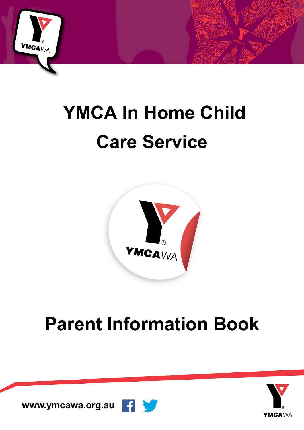

# **YMCA In Home Child Care Service**



## **Parent Information Book**

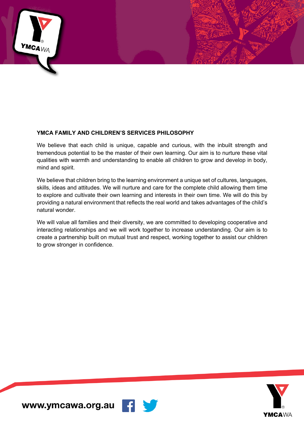

#### **YMCA FAMILY AND CHILDREN'S SERVICES PHILOSOPHY**

We believe that each child is unique, capable and curious, with the inbuilt strength and tremendous potential to be the master of their own learning. Our aim is to nurture these vital qualities with warmth and understanding to enable all children to grow and develop in body, mind and spirit.

We believe that children bring to the learning environment a unique set of cultures, languages, skills, ideas and attitudes. We will nurture and care for the complete child allowing them time to explore and cultivate their own learning and interests in their own time. We will do this by providing a natural environment that reflects the real world and takes advantages of the child's natural wonder.

We will value all families and their diversity, we are committed to developing cooperative and interacting relationships and we will work together to increase understanding. Our aim is to create a partnership built on mutual trust and respect, working together to assist our children to grow stronger in confidence.

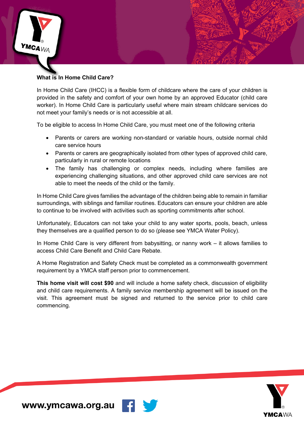

## **What is In Home Child Care?**

In Home Child Care (IHCC) is a flexible form of childcare where the care of your children is provided in the safety and comfort of your own home by an approved Educator (child care worker). In Home Child Care is particularly useful where main stream childcare services do not meet your family's needs or is not accessible at all.

To be eligible to access In Home Child Care, you must meet one of the following criteria

- Parents or carers are working non-standard or variable hours, outside normal child care service hours
- Parents or carers are geographically isolated from other types of approved child care, particularly in rural or remote locations
- The family has challenging or complex needs, including where families are experiencing challenging situations, and other approved child care services are not able to meet the needs of the child or the family.

In Home Child Care gives families the advantage of the children being able to remain in familiar surroundings, with siblings and familiar routines. Educators can ensure your children are able to continue to be involved with activities such as sporting commitments after school.

Unfortunately, Educators can not take your child to any water sports, pools, beach, unless they themselves are a qualified person to do so (please see YMCA Water Policy).

In Home Child Care is very different from babysitting, or nanny work – it allows families to access Child Care Benefit and Child Care Rebate.

A Home Registration and Safety Check must be completed as a commonwealth government requirement by a YMCA staff person prior to commencement.

**This home visit will cost \$90** and will include a home safety check, discussion of eligibility and child care requirements. A family service membership agreement will be issued on the visit. This agreement must be signed and returned to the service prior to child care commencing.



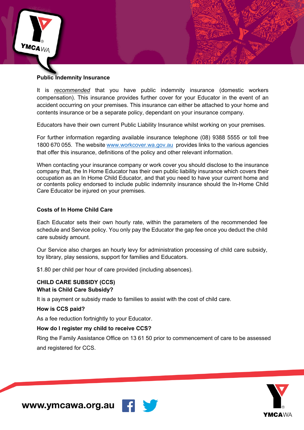

#### **Public Indemnity Insurance**

It is *recommended* that you have public indemnity insurance (domestic workers compensation). This insurance provides further cover for your Educator in the event of an accident occurring on your premises. This insurance can either be attached to your home and contents insurance or be a separate policy, dependant on your insurance company.

Educators have their own current Public Liability Insurance whilst working on your premises.

For further information regarding available insurance telephone (08) 9388 5555 or toll free 1800 670 055. The website www.workcover.wa.gov.au provides links to the various agencies that offer this insurance, definitions of the policy and other relevant information.

When contacting your insurance company or work cover you should disclose to the insurance company that, the In Home Educator has their own public liability insurance which covers their occupation as an In Home Child Educator, and that you need to have your current home and or contents policy endorsed to include public indemnity insurance should the In-Home Child Care Educator be injured on your premises.

#### **Costs of In Home Child Care**

Each Educator sets their own hourly rate, within the parameters of the recommended fee schedule and Service policy. You only pay the Educator the gap fee once you deduct the child care subsidy amount.

Our Service also charges an hourly levy for administration processing of child care subsidy, toy library, play sessions, support for families and Educators.

\$1.80 per child per hour of care provided (including absences).

#### **CHILD CARE SUBSIDY (CCS) What is Child Care Subsidy?**

It is a payment or subsidy made to families to assist with the cost of child care.

#### **How is CCS paid?**

As a fee reduction fortnightly to your Educator.

#### **How do I register my child to receive CCS?**

Ring the Family Assistance Office on 13 61 50 prior to commencement of care to be assessed and registered for CCS.



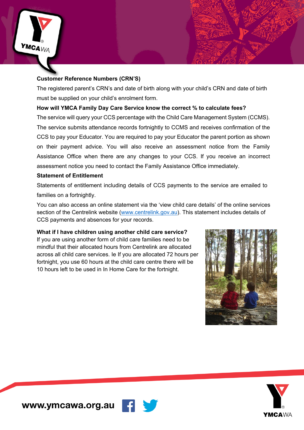

## **Customer Reference Numbers (CRN'S)**

The registered parent's CRN's and date of birth along with your child's CRN and date of birth must be supplied on your child's enrolment form.

## **How will YMCA Family Day Care Service know the correct % to calculate fees?**

The service will query your CCS percentage with the Child Care Management System (CCMS). The service submits attendance records fortnightly to CCMS and receives confirmation of the CCS to pay your Educator. You are required to pay your Educator the parent portion as shown on their payment advice. You will also receive an assessment notice from the Family Assistance Office when there are any changes to your CCS. If you receive an incorrect assessment notice you need to contact the Family Assistance Office immediately.

## **Statement of Entitlement**

Statements of entitlement including details of CCS payments to the service are emailed to families on a fortnightly.

You can also access an online statement via the 'view child care details' of the online services section of the Centrelink website (www.centrelink.gov.au). This statement includes details of CCS payments and absences for your records.

**What if I have children using another child care service?** If you are using another form of child care families need to be mindful that their allocated hours from Centrelink are allocated across all child care services. Ie If you are allocated 72 hours per fortnight, you use 60 hours at the child care centre there will be 10 hours left to be used in In Home Care for the fortnight.

ĸ



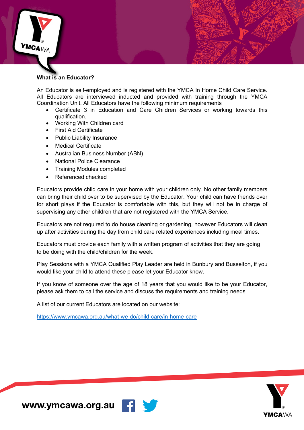

#### **What is an Educator?**

An Educator is self-employed and is registered with the YMCA In Home Child Care Service. All Educators are interviewed inducted and provided with training through the YMCA Coordination Unit. All Educators have the following minimum requirements

- Certificate 3 in Education and Care Children Services or working towards this qualification.
- Working With Children card
- First Aid Certificate
- Public Liability Insurance
- Medical Certificate
- Australian Business Number (ABN)
- National Police Clearance
- Training Modules completed
- Referenced checked

Educators provide child care in your home with your children only. No other family members can bring their child over to be supervised by the Educator. Your child can have friends over for short plays if the Educator is comfortable with this, but they will not be in charge of supervising any other children that are not registered with the YMCA Service.

Educators are not required to do house cleaning or gardening, however Educators will clean up after activities during the day from child care related experiences including meal times.

Educators must provide each family with a written program of activities that they are going to be doing with the child/children for the week.

Play Sessions with a YMCA Qualified Play Leader are held in Bunbury and Busselton, if you would like your child to attend these please let your Educator know.

If you know of someone over the age of 18 years that you would like to be your Educator, please ask them to call the service and discuss the requirements and training needs.

A list of our current Educators are located on our website:

https://www.ymcawa.org.au/what-we-do/child-care/in-home-care



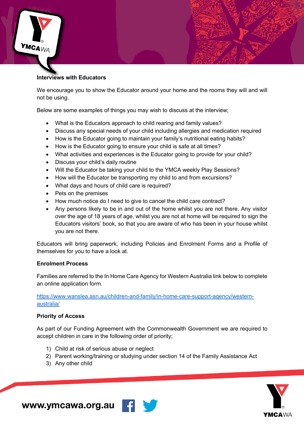

#### **Interviews with Educators**

We encourage you to show the Educator around your home and the rooms they will and will not be using.

Below are some examples of things you may wish to discuss at the interview;

- What is the Educators approach to child rearing and family values?
- Discuss any special needs of your child including allergies and medication required
- How is the Educator going to maintain your family's nutritional eating habits?
- How is the Educator going to ensure your child is safe at all times?
- What activities and experiences is the Educator going to provide for your child?
- Discuss your child's daily routine
- Will the Educator be taking your child to the YMCA weekly Play Sessions?
- How will the Educator be transporting my child to and from excursions?
- What days and hours of child care is required?
- Pets on the premises
- How much notice do I need to give to cancel the child care contract?
- Any persons likely to be in and out of the home whilst you are not there. Any visitor over the age of 18 years of age, whilst you are not at home will be required to sign the Educators visitors' book, so that you are aware of who has been in your house whilst you are not there.

Educators will bring paperwork, including Policies and Enrolment Forms and a Profile of themselves for you to have a look at.

#### **Enrolment Process**

Families are referred to the In Home Care Agency for Western Australia link below to complete an online application form.

https://www.wanslea.asn.au/children-and-family/in-home-care-support-agency/westernaustralia/

#### **Priority of Access**

As part of our Funding Agreement with the Commonwealth Government we are required to accept children in care in the following order of priority;

- 1) Child at risk of serious abuse or neglect
- 2) Parent working/training or studying under section 14 of the Family Assistance Act
- 3) Any other child



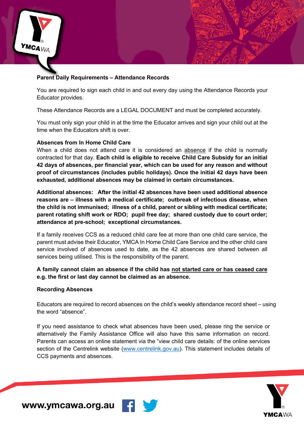

#### **Parent Daily Requirements – Attendance Records**

You are required to sign each child in and out every day using the Attendance Records your Educator provides.

These Attendance Records are a LEGAL DOCUMENT and must be completed accurately.

You must only sign your child in at the time the Educator arrives and sign your child out at the time when the Educators shift is over.

#### **Absences from In Home Child Care**

When a child does not attend care it is considered an absence if the child is normally contracted for that day. **Each child is eligible to receive Child Care Subsidy for an initial 42 days of absences, per financial year, which can be used for any reason and without proof of circumstances (includes public holidays). Once the initial 42 days have been exhausted, additional absences may be claimed in certain circumstances.**

**Additional absences: After the initial 42 absences have been used additional absence reasons are – illness with a medical certificate; outbreak of infectious disease, when the child is not immunised; illness of a child, parent or sibling with medical certificate; parent rotating shift work or RDO; pupil free day; shared custody due to court order; attendance at pre-school; exceptional circumstances.**

If a family receives CCS as a reduced child care fee at more than one child care service, the parent must advise their Educator, YMCA In Home Child Care Service and the other child care service involved of absences used to date, as the 42 absences are shared between all services being utilised. This is the responsibility of the parent.

#### **A family cannot claim an absence if the child has not started care or has ceased care e.g. the first or last day cannot be claimed as an absence.**

#### **Recording Absences**

Educators are required to record absences on the child's weekly attendance record sheet – using the word "absence".

If you need assistance to check what absences have been used, please ring the service or alternatively the Family Assistance Office will also have this same information on record. Parents can access an online statement via the "view child care details: of the online services section of the Centrelink website (www.centrelink.gov.au). This statement includes details of CCS payments and absences.

**F** 

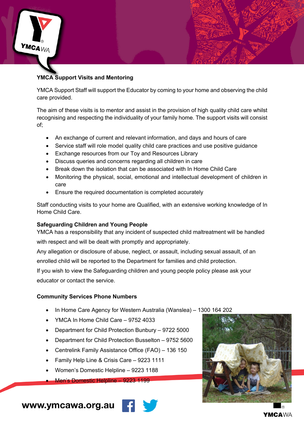

## **YMCA Support Visits and Mentoring**

YMCA Support Staff will support the Educator by coming to your home and observing the child care provided.

The aim of these visits is to mentor and assist in the provision of high quality child care whilst recognising and respecting the individuality of your family home. The support visits will consist of;

- An exchange of current and relevant information, and days and hours of care
- Service staff will role model quality child care practices and use positive quidance
- Exchange resources from our Toy and Resources Library
- Discuss queries and concerns regarding all children in care
- Break down the isolation that can be associated with In Home Child Care
- Monitoring the physical, social, emotional and intellectual development of children in care
- Ensure the required documentation is completed accurately

Staff conducting visits to your home are Qualified, with an extensive working knowledge of In Home Child Care.

#### **Safeguarding Children and Young People**

YMCA has a responsibility that any incident of suspected child maltreatment will be handled

with respect and will be dealt with promptly and appropriately.

Any allegation or disclosure of abuse, neglect, or assault, including sexual assault, of an enrolled child will be reported to the Department for families and child protection.

If you wish to view the Safeguarding children and young people policy please ask your educator or contact the service.

#### **Community Services Phone Numbers**

- In Home Care Agency for Western Australia (Wanslea) 1300 164 202
- YMCA In Home Child Care 9752 4033
- Department for Child Protection Bunbury 9722 5000
- Department for Child Protection Busselton 9752 5600
- Centrelink Family Assistance Office (FAO) 136 150
- Family Help Line & Crisis Care 9223 1111
- Women's Domestic Helpline 9223 1188

• Men's Domestic Helpline – 9223 1199



www.ymcawa.org.au

YMCAWA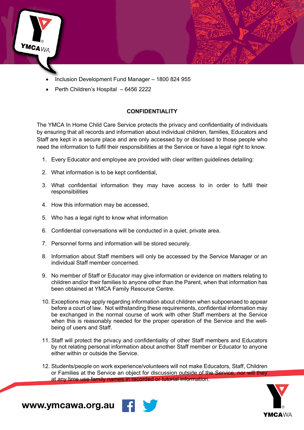

- Inclusion Development Fund Manager 1800 824 955
- Perth Children's Hospital 6456 2222

#### **CONFIDENTIALITY**

The YMCA In Home Child Care Service protects the privacy and confidentiality of individuals by ensuring that all records and information about individual children, families, Educators and Staff are kept in a secure place and are only accessed by or disclosed to those people who need the information to fulfil their responsibilities at the Service or have a legal right to know.

- 1. Every Educator and employee are provided with clear written guidelines detailing:
- 2. What information is to be kept confidential,
- 3. What confidential information they may have access to in order to fulfil their responsibilities
- 4. How this information may be accessed,
- 5. Who has a legal right to know what information
- 6. Confidential conversations will be conducted in a quiet, private area.
- 7. Personnel forms and information will be stored securely.
- 8. Information about Staff members will only be accessed by the Service Manager or an individual Staff member concerned.
- 9. No member of Staff or Educator may give information or evidence on matters relating to children and/or their families to anyone other than the Parent, when that information has been obtained at YMCA Family Resource Centre.
- 10. Exceptions may apply regarding information about children when subpoenaed to appear before a court of law. Not withstanding these requirements, confidential information may be exchanged in the normal course of work with other Staff members at the Service when this is reasonably needed for the proper operation of the Service and the wellbeing of users and Staff.
- 11. Staff will protect the privacy and confidentiality of other Staff members and Educators by not relating personal information about another Staff member or Educator to anyone either within or outside the Service.
- 12. Students/people on work experience/volunteers will not make Educators, Staff, Children or Families at the Service an object for discussion outside of the Service, nor will they at any time use family names in recorded or tutorial information.



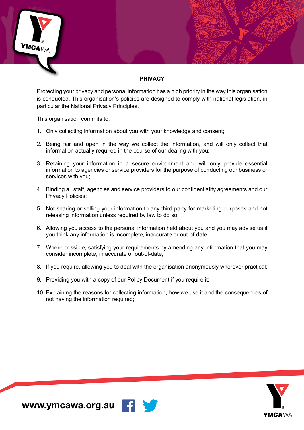

## **PRIVACY**

Protecting your privacy and personal information has a high priority in the way this organisation is conducted. This organisation's policies are designed to comply with national legislation, in particular the National Privacy Principles.

This organisation commits to:

- 1. Only collecting information about you with your knowledge and consent;
- 2. Being fair and open in the way we collect the information, and will only collect that information actually required in the course of our dealing with you;
- 3. Retaining your information in a secure environment and will only provide essential information to agencies or service providers for the purpose of conducting our business or services with you;
- 4. Binding all staff, agencies and service providers to our confidentiality agreements and our Privacy Policies;
- 5. Not sharing or selling your information to any third party for marketing purposes and not releasing information unless required by law to do so;
- 6. Allowing you access to the personal information held about you and you may advise us if you think any information is incomplete, inaccurate or out-of-date;
- 7. Where possible, satisfying your requirements by amending any information that you may consider incomplete, in accurate or out-of-date;
- 8. If you require, allowing you to deal with the organisation anonymously wherever practical;
- 9. Providing you with a copy of our Policy Document if you require it;
- 10. Explaining the reasons for collecting information, how we use it and the consequences of not having the information required;



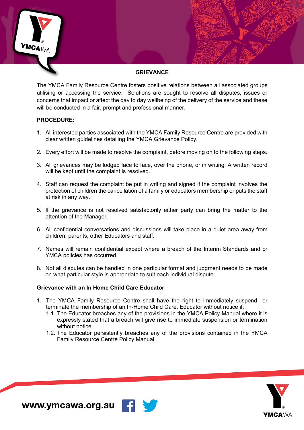

#### **GRIEVANCE**

The YMCA Family Resource Centre fosters positive relations between all associated groups utilising or accessing the service. Solutions are sought to resolve all disputes, issues or concerns that impact or affect the day to day wellbeing of the delivery of the service and these will be conducted in a fair, prompt and professional manner.

#### **PROCEDURE:**

- 1. All interested parties associated with the YMCA Family Resource Centre are provided with clear written guidelines detailing the YMCA Grievance Policy.
- 2. Every effort will be made to resolve the complaint, before moving on to the following steps.
- 3. All grievances may be lodged face to face, over the phone, or in writing. A written record will be kept until the complaint is resolved.
- 4. Staff can request the complaint be put in writing and signed if the complaint involves the protection of children the cancellation of a family or educators membership or puts the staff at risk in any way.
- 5. If the grievance is not resolved satisfactorily either party can bring the matter to the attention of the Manager.
- 6. All confidential conversations and discussions will take place in a quiet area away from children, parents, other Educators and staff.
- 7. Names will remain confidential except where a breach of the Interim Standards and or YMCA policies has occurred.
- 8. Not all disputes can be handled in one particular format and judgment needs to be made on what particular style is appropriate to suit each individual dispute.

#### **Grievance with an In Home Child Care Educator**

- 1. The YMCA Family Resource Centre shall have the right to immediately suspend or terminate the membership of an In-Home Child Care, Educator without notice if;
	- 1.1. The Educator breaches any of the provisions in the YMCA Policy Manual where it is expressly stated that a breach will give rise to immediate suspension or termination without notice
	- 1.2. The Educator persistently breaches any of the provisions contained in the YMCA Family Resource Centre Policy Manual.



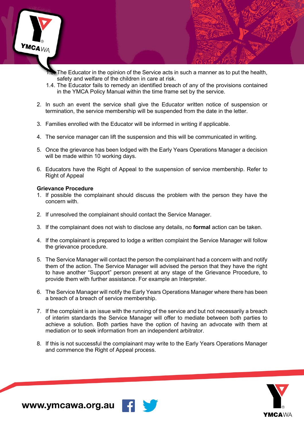

- The Educator in the opinion of the Service acts in such a manner as to put the health, safety and welfare of the children in care at risk.
- 1.4. The Educator fails to remedy an identified breach of any of the provisions contained in the YMCA Policy Manual within the time frame set by the service.
- 2. In such an event the service shall give the Educator written notice of suspension or termination, the service membership will be suspended from the date in the letter.
- 3. Families enrolled with the Educator will be informed in writing if applicable.
- 4. The service manager can lift the suspension and this will be communicated in writing.
- 5. Once the grievance has been lodged with the Early Years Operations Manager a decision will be made within 10 working days.
- 6. Educators have the Right of Appeal to the suspension of service membership. Refer to Right of Appeal

#### **Grievance Procedure**

- 1. If possible the complainant should discuss the problem with the person they have the concern with.
- 2. If unresolved the complainant should contact the Service Manager.
- 3. If the complainant does not wish to disclose any details, no **formal** action can be taken.
- 4. If the complainant is prepared to lodge a written complaint the Service Manager will follow the grievance procedure.
- 5. The Service Manager will contact the person the complainant had a concern with and notify them of the action. The Service Manager will advised the person that they have the right to have another "Support" person present at any stage of the Grievance Procedure, to provide them with further assistance. For example an Interpreter.
- 6. The Service Manager will notify the Early Years Operations Manager where there has been a breach of a breach of service membership.
- 7. If the complaint is an issue with the running of the service and but not necessarily a breach of interim standards the Service Manager will offer to mediate between both parties to achieve a solution. Both parties have the option of having an advocate with them at mediation or to seek information from an independent arbitrator.
- 8. If this is not successful the complainant may write to the Early Years Operations Manager and commence the Right of Appeal process.



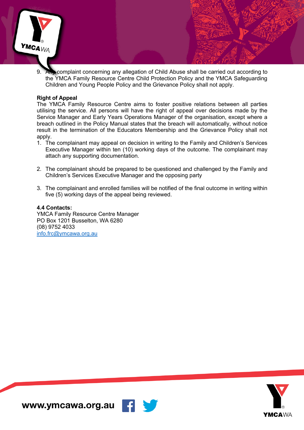

9. Any complaint concerning any allegation of Child Abuse shall be carried out according to the YMCA Family Resource Centre Child Protection Policy and the YMCA Safeguarding Children and Young People Policy and the Grievance Policy shall not apply.

#### **Right of Appeal**

The YMCA Family Resource Centre aims to foster positive relations between all parties utilising the service. All persons will have the right of appeal over decisions made by the Service Manager and Early Years Operations Manager of the organisation, except where a breach outlined in the Policy Manual states that the breach will automatically, without notice result in the termination of the Educators Membership and the Grievance Policy shall not apply.

- 1. The complainant may appeal on decision in writing to the Family and Children's Services Executive Manager within ten (10) working days of the outcome. The complainant may attach any supporting documentation.
- 2. The complainant should be prepared to be questioned and challenged by the Family and Children's Services Executive Manager and the opposing party
- 3. The complainant and enrolled families will be notified of the final outcome in writing within five (5) working days of the appeal being reviewed.

#### **4.4 Contacts:**

YMCA Family Resource Centre Manager PO Box 1201 Busselton, WA 6280 (08) 9752 4033 info.frc@ymcawa.org.au

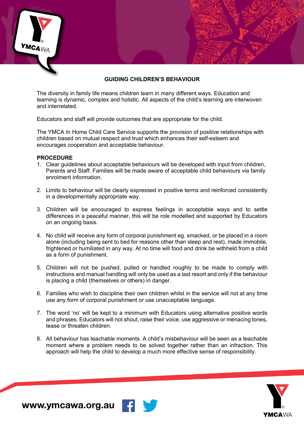## **GUIDING CHILDREN'S BEHAVIOUR**

The diversity in family life means children learn in many different ways. Education and learning is dynamic, complex and holistic. All aspects of the child's learning are interwoven and interrelated.

Educators and staff will provide outcomes that are appropriate for the child.

The YMCA In Home Child Care Service supports the provision of positive relationships with children based on mutual respect and trust which enhances their self-esteem and encourages cooperation and acceptable behaviour.

#### **PROCEDURE**

 $MCA_{WA}$ 

- 1. Clear guidelines about acceptable behaviours will be developed with input from children, Parents and Staff. Families will be made aware of acceptable child behaviours via family enrolment information.
- 2. Limits to behaviour will be clearly expressed in positive terms and reinforced consistently in a developmentally appropriate way.
- 3. Children will be encouraged to express feelings in acceptable ways and to settle differences in a peaceful manner, this will be role modelled and supported by Educators on an ongoing basis.
- 4. No child will receive any form of corporal punishment eg. smacked, or be placed in a room alone (including being sent to bed for reasons other than sleep and rest), made immobile, frightened or humiliated in any way. At no time will food and drink be withheld from a child as a form of punishment.
- 5. Children will not be pushed, pulled or handled roughly to be made to comply with instructions and manual handling will only be used as a last resort and only if the behaviour is placing a child (themselves or others) in danger.
- 6. Families who wish to discipline their own children whilst in the service will not at any time use any form of corporal punishment or use unacceptable language.
- 7. The word 'no' will be kept to a minimum with Educators using alternative positive words and phrases. Educators will not shout, raise their voice, use aggressive or menacing tones, tease or threaten children.
- 8. All behaviour has teachable moments. A child's misbehaviour will be seen as a teachable moment where a problem needs to be solved together rather than an infraction. This approach will help the child to develop a much more effective sense of responsibility.